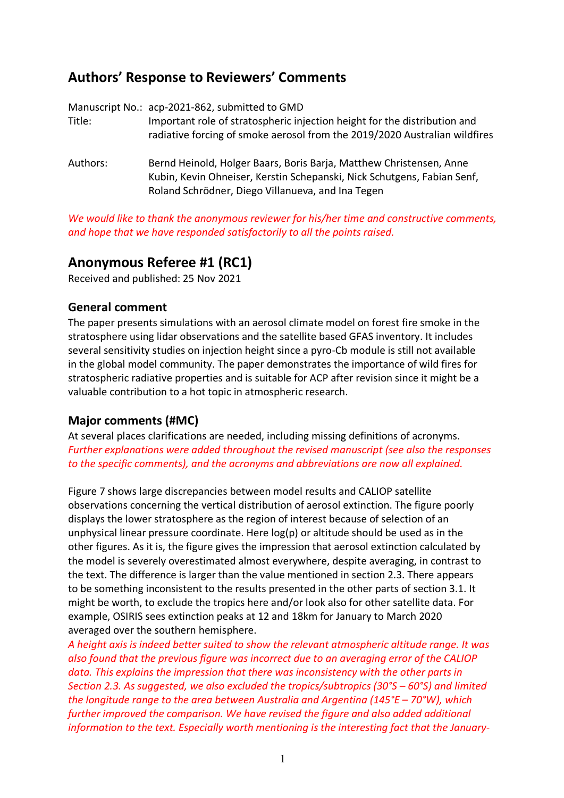# **Authors' Response to Reviewers' Comments**

| Title:   | Manuscript No.: acp-2021-862, submitted to GMD<br>Important role of stratospheric injection height for the distribution and<br>radiative forcing of smoke aerosol from the 2019/2020 Australian wildfires |
|----------|-----------------------------------------------------------------------------------------------------------------------------------------------------------------------------------------------------------|
| Authors: | Bernd Heinold, Holger Baars, Boris Barja, Matthew Christensen, Anne<br>Kubin, Kevin Ohneiser, Kerstin Schepanski, Nick Schutgens, Fabian Senf,<br>Roland Schrödner, Diego Villanueva, and Ina Tegen       |

*We would like to thank the anonymous reviewer for his/her time and constructive comments, and hope that we have responded satisfactorily to all the points raised.*

## **Anonymous Referee #1 (RC1)**

Received and published: 25 Nov 2021

### **General comment**

The paper presents simulations with an aerosol climate model on forest fire smoke in the stratosphere using lidar observations and the satellite based GFAS inventory. It includes several sensitivity studies on injection height since a pyro-Cb module is still not available in the global model community. The paper demonstrates the importance of wild fires for stratospheric radiative properties and is suitable for ACP after revision since it might be a valuable contribution to a hot topic in atmospheric research.

### **Major comments (#MC)**

At several places clarifications are needed, including missing definitions of acronyms. *Further explanations were added throughout the revised manuscript (see also the responses to the specific comments), and the acronyms and abbreviations are now all explained.*

Figure 7 shows large discrepancies between model results and CALIOP satellite observations concerning the vertical distribution of aerosol extinction. The figure poorly displays the lower stratosphere as the region of interest because of selection of an unphysical linear pressure coordinate. Here log(p) or altitude should be used as in the other figures. As it is, the figure gives the impression that aerosol extinction calculated by the model is severely overestimated almost everywhere, despite averaging, in contrast to the text. The difference is larger than the value mentioned in section 2.3. There appears to be something inconsistent to the results presented in the other parts of section 3.1. It might be worth, to exclude the tropics here and/or look also for other satellite data. For example, OSIRIS sees extinction peaks at 12 and 18km for January to March 2020 averaged over the southern hemisphere.

*A height axis is indeed better suited to show the relevant atmospheric altitude range. It was also found that the previous figure was incorrect due to an averaging error of the CALIOP data. This explains the impression that there was inconsistency with the other parts in Section 2.3. As suggested, we also excluded the tropics/subtropics (30°S – 60°S) and limited the longitude range to the area between Australia and Argentina (145°E – 70°W), which further improved the comparison. We have revised the figure and also added additional information to the text. Especially worth mentioning is the interesting fact that the January-*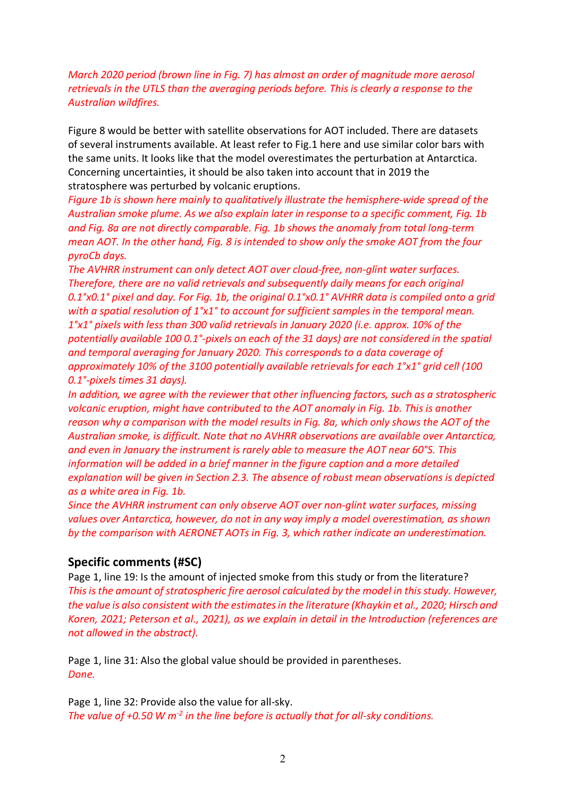#### *March 2020 period (brown line in Fig. 7) has almost an order of magnitude more aerosol retrievals in the UTLS than the averaging periods before. This is clearly a response to the Australian wildfires.*

Figure 8 would be better with satellite observations for AOT included. There are datasets of several instruments available. At least refer to Fig.1 here and use similar color bars with the same units. It looks like that the model overestimates the perturbation at Antarctica. Concerning uncertainties, it should be also taken into account that in 2019 the stratosphere was perturbed by volcanic eruptions.

*Figure 1b is shown here mainly to qualitatively illustrate the hemisphere-wide spread of the Australian smoke plume. As we also explain later in response to a specific comment, Fig. 1b and Fig. 8a are not directly comparable. Fig. 1b shows the anomaly from total long-term mean AOT. In the other hand, Fig. 8 is intended to show only the smoke AOT from the four pyroCb days.*

*The AVHRR instrument can only detect AOT over cloud-free, non-glint water surfaces. Therefore, there are no valid retrievals and subsequently daily means for each original 0.1°x0.1° pixel and day. For Fig. 1b, the original 0.1°x0.1° AVHRR data is compiled onto a grid with a spatial resolution of 1°x1° to account for sufficient samples in the temporal mean. 1°x1° pixels with less than 300 valid retrievals in January 2020 (i.e. approx. 10% of the potentially available 100 0.1°-pixels on each of the 31 days) are not considered in the spatial and temporal averaging for January 2020. This corresponds to a data coverage of approximately 10% of the 3100 potentially available retrievals for each 1°x1° grid cell (100 0.1°-pixels times 31 days).*

*In addition, we agree with the reviewer that other influencing factors, such as a stratospheric volcanic eruption, might have contributed to the AOT anomaly in Fig. 1b. This is another reason why a comparison with the model results in Fig. 8a, which only shows the AOT of the Australian smoke, is difficult. Note that no AVHRR observations are available over Antarctica, and even in January the instrument is rarely able to measure the AOT near 60°S. This information will be added in a brief manner in the figure caption and a more detailed explanation will be given in Section 2.3. The absence of robust mean observations is depicted as a white area in Fig. 1b.*

*Since the AVHRR instrument can only observe AOT over non-glint water surfaces, missing values over Antarctica, however, do not in any way imply a model overestimation, as shown by the comparison with AERONET AOTs in Fig. 3, which rather indicate an underestimation.*

#### **Specific comments (#SC)**

Page 1, line 19: Is the amount of injected smoke from this study or from the literature? *This is the amount of stratospheric fire aerosol calculated by the model in this study. However, the value is also consistent with the estimates in the literature (Khaykin et al., 2020; Hirsch and Koren, 2021; Peterson et al., 2021), as we explain in detail in the Introduction (references are not allowed in the abstract).*

Page 1, line 31: Also the global value should be provided in parentheses. *Done.*

Page 1, line 32: Provide also the value for all-sky. *The value of +0.50 W m-2 in the line before is actually that for all-sky conditions.*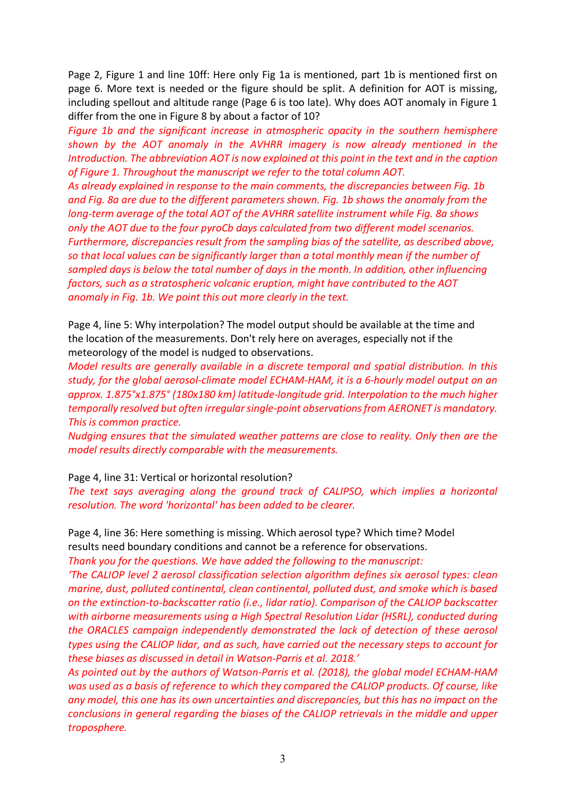Page 2, Figure 1 and line 10ff: Here only Fig 1a is mentioned, part 1b is mentioned first on page 6. More text is needed or the figure should be split. A definition for AOT is missing, including spellout and altitude range (Page 6 is too late). Why does AOT anomaly in Figure 1 differ from the one in Figure 8 by about a factor of 10?

*Figure 1b and the significant increase in atmospheric opacity in the southern hemisphere shown by the AOT anomaly in the AVHRR imagery is now already mentioned in the Introduction. The abbreviation AOT is now explained at this point in the text and in the caption of Figure 1. Throughout the manuscript we refer to the total column AOT.*

*As already explained in response to the main comments, the discrepancies between Fig. 1b and Fig. 8a are due to the different parameters shown. Fig. 1b shows the anomaly from the long-term average of the total AOT of the AVHRR satellite instrument while Fig. 8a shows only the AOT due to the four pyroCb days calculated from two different model scenarios. Furthermore, discrepancies result from the sampling bias of the satellite, as described above, so that local values can be significantly larger than a total monthly mean if the number of sampled days is below the total number of days in the month. In addition, other influencing factors, such as a stratospheric volcanic eruption, might have contributed to the AOT anomaly in Fig. 1b. We point this out more clearly in the text.*

Page 4, line 5: Why interpolation? The model output should be available at the time and the location of the measurements. Don't rely here on averages, especially not if the meteorology of the model is nudged to observations.

*Model results are generally available in a discrete temporal and spatial distribution. In this study, for the global aerosol-climate model ECHAM-HAM, it is a 6-hourly model output on an approx. 1.875°x1.875° (180x180 km) latitude-longitude grid. Interpolation to the much higher temporally resolved but often irregular single-point observations from AERONET is mandatory. This is common practice.*

*Nudging ensures that the simulated weather patterns are close to reality. Only then are the model results directly comparable with the measurements.*

Page 4, line 31: Vertical or horizontal resolution?

*The text says averaging along the ground track of CALIPSO, which implies a horizontal resolution. The word 'horizontal' has been added to be clearer.*

Page 4, line 36: Here something is missing. Which aerosol type? Which time? Model

results need boundary conditions and cannot be a reference for observations.

*Thank you for the questions. We have added the following to the manuscript:*

*'The CALIOP level 2 aerosol classification selection algorithm defines six aerosol types: clean marine, dust, polluted continental, clean continental, polluted dust, and smoke which is based on the extinction-to-backscatter ratio (i.e., lidar ratio). Comparison of the CALIOP backscatter with airborne measurements using a High Spectral Resolution Lidar (HSRL), conducted during the ORACLES campaign independently demonstrated the lack of detection of these aerosol types using the CALIOP lidar, and as such, have carried out the necessary steps to account for these biases as discussed in detail in Watson-Parris et al. 2018.'* 

*As pointed out by the authors of Watson-Parris et al. (2018), the global model ECHAM-HAM was used as a basis of reference to which they compared the CALIOP products. Of course, like any model, this one has its own uncertainties and discrepancies, but this has no impact on the conclusions in general regarding the biases of the CALIOP retrievals in the middle and upper troposphere.*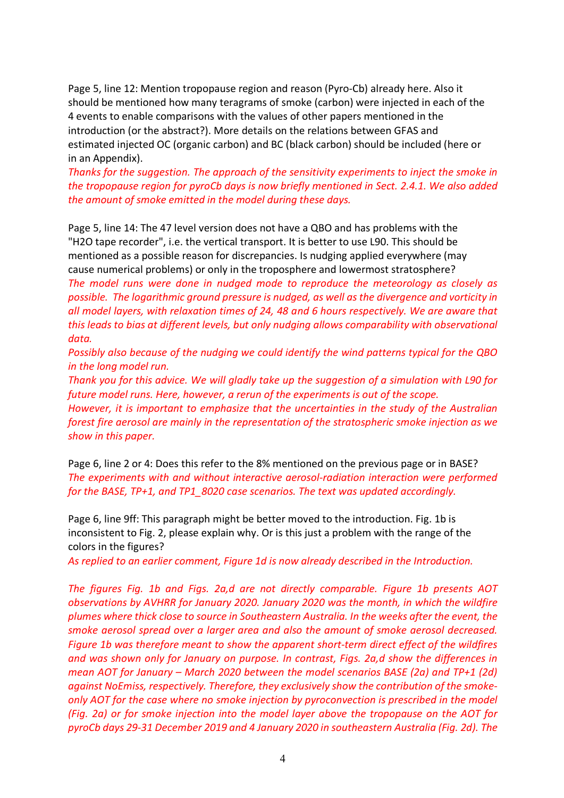Page 5, line 12: Mention tropopause region and reason (Pyro-Cb) already here. Also it should be mentioned how many teragrams of smoke (carbon) were injected in each of the 4 events to enable comparisons with the values of other papers mentioned in the introduction (or the abstract?). More details on the relations between GFAS and estimated injected OC (organic carbon) and BC (black carbon) should be included (here or in an Appendix).

*Thanks for the suggestion. The approach of the sensitivity experiments to inject the smoke in the tropopause region for pyroCb days is now briefly mentioned in Sect. 2.4.1. We also added the amount of smoke emitted in the model during these days.*

Page 5, line 14: The 47 level version does not have a QBO and has problems with the "H2O tape recorder", i.e. the vertical transport. It is better to use L90. This should be mentioned as a possible reason for discrepancies. Is nudging applied everywhere (may cause numerical problems) or only in the troposphere and lowermost stratosphere?

*The model runs were done in nudged mode to reproduce the meteorology as closely as possible. The logarithmic ground pressure is nudged, as well as the divergence and vorticity in all model layers, with relaxation times of 24, 48 and 6 hours respectively. We are aware that this leads to bias at different levels, but only nudging allows comparability with observational data.*

*Possibly also because of the nudging we could identify the wind patterns typical for the QBO in the long model run.*

*Thank you for this advice. We will gladly take up the suggestion of a simulation with L90 for future model runs. Here, however, a rerun of the experiments is out of the scope.*

*However, it is important to emphasize that the uncertainties in the study of the Australian forest fire aerosol are mainly in the representation of the stratospheric smoke injection as we show in this paper.*

Page 6, line 2 or 4: Does this refer to the 8% mentioned on the previous page or in BASE? *The experiments with and without interactive aerosol-radiation interaction were performed for the BASE, TP+1, and TP1\_8020 case scenarios. The text was updated accordingly.*

Page 6, line 9ff: This paragraph might be better moved to the introduction. Fig. 1b is inconsistent to Fig. 2, please explain why. Or is this just a problem with the range of the colors in the figures?

*As replied to an earlier comment, Figure 1d is now already described in the Introduction.*

*The figures Fig. 1b and Figs. 2a,d are not directly comparable. Figure 1b presents AOT observations by AVHRR for January 2020. January 2020 was the month, in which the wildfire plumes where thick close to source in Southeastern Australia. In the weeks after the event, the smoke aerosol spread over a larger area and also the amount of smoke aerosol decreased. Figure 1b was therefore meant to show the apparent short-term direct effect of the wildfires and was shown only for January on purpose. In contrast, Figs. 2a,d show the differences in mean AOT for January – March 2020 between the model scenarios BASE (2a) and TP+1 (2d) against NoEmiss, respectively. Therefore, they exclusively show the contribution of the smokeonly AOT for the case where no smoke injection by pyroconvection is prescribed in the model (Fig. 2a) or for smoke injection into the model layer above the tropopause on the AOT for pyroCb days 29-31 December 2019 and 4 January 2020 in southeastern Australia (Fig. 2d). The*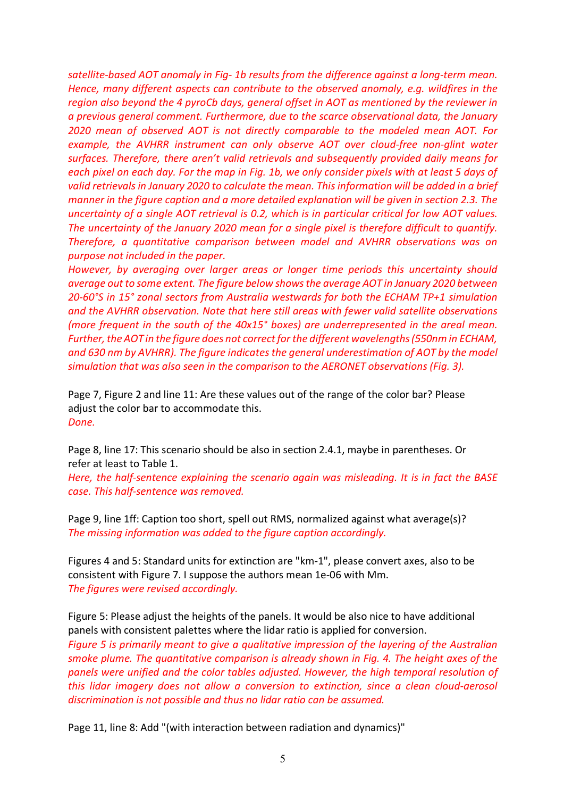*satellite-based AOT anomaly in Fig- 1b results from the difference against a long-term mean. Hence, many different aspects can contribute to the observed anomaly, e.g. wildfires in the region also beyond the 4 pyroCb days, general offset in AOT as mentioned by the reviewer in a previous general comment. Furthermore, due to the scarce observational data, the January 2020 mean of observed AOT is not directly comparable to the modeled mean AOT. For example, the AVHRR instrument can only observe AOT over cloud-free non-glint water surfaces. Therefore, there aren't valid retrievals and subsequently provided daily means for each pixel on each day. For the map in Fig. 1b, we only consider pixels with at least 5 days of valid retrievals in January 2020 to calculate the mean. This information will be added in a brief manner in the figure caption and a more detailed explanation will be given in section 2.3. The uncertainty of a single AOT retrieval is 0.2, which is in particular critical for low AOT values. The uncertainty of the January 2020 mean for a single pixel is therefore difficult to quantify. Therefore, a quantitative comparison between model and AVHRR observations was on purpose not included in the paper.* 

*However, by averaging over larger areas or longer time periods this uncertainty should average out to some extent. The figure below shows the average AOT in January 2020 between 20-60°S in 15° zonal sectors from Australia westwards for both the ECHAM TP+1 simulation and the AVHRR observation. Note that here still areas with fewer valid satellite observations (more frequent in the south of the 40x15° boxes) are underrepresented in the areal mean. Further, the AOT in the figure does not correct for the different wavelengths (550nm in ECHAM,*  and 630 nm by AVHRR). The figure indicates the general underestimation of AOT by the model *simulation that was also seen in the comparison to the AERONET observations (Fig. 3).*

Page 7, Figure 2 and line 11: Are these values out of the range of the color bar? Please adjust the color bar to accommodate this. *Done.*

Page 8, line 17: This scenario should be also in section 2.4.1, maybe in parentheses. Or refer at least to Table 1.

*Here, the half-sentence explaining the scenario again was misleading. It is in fact the BASE case. This half-sentence was removed.*

Page 9, line 1ff: Caption too short, spell out RMS, normalized against what average(s)? *The missing information was added to the figure caption accordingly.*

Figures 4 and 5: Standard units for extinction are "km-1", please convert axes, also to be consistent with Figure 7. I suppose the authors mean 1e-06 with Mm. *The figures were revised accordingly.*

Figure 5: Please adjust the heights of the panels. It would be also nice to have additional panels with consistent palettes where the lidar ratio is applied for conversion. *Figure 5 is primarily meant to give a qualitative impression of the layering of the Australian smoke plume. The quantitative comparison is already shown in Fig. 4. The height axes of the panels were unified and the color tables adjusted. However, the high temporal resolution of this lidar imagery does not allow a conversion to extinction, since a clean cloud-aerosol discrimination is not possible and thus no lidar ratio can be assumed.*

Page 11, line 8: Add "(with interaction between radiation and dynamics)"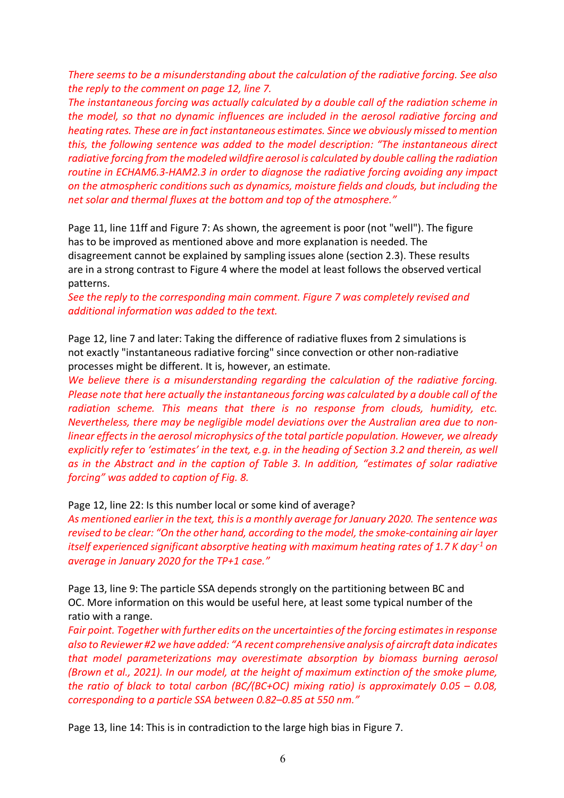*There seems to be a misunderstanding about the calculation of the radiative forcing. See also the reply to the comment on page 12, line 7.*

*The instantaneous forcing was actually calculated by a double call of the radiation scheme in the model, so that no dynamic influences are included in the aerosol radiative forcing and heating rates. These are in fact instantaneous estimates. Since we obviously missed to mention this, the following sentence was added to the model description: "The instantaneous direct radiative forcing from the modeled wildfire aerosol is calculated by double calling the radiation routine in ECHAM6.3-HAM2.3 in order to diagnose the radiative forcing avoiding any impact on the atmospheric conditions such as dynamics, moisture fields and clouds, but including the net solar and thermal fluxes at the bottom and top of the atmosphere."*

Page 11, line 11ff and Figure 7: As shown, the agreement is poor (not "well"). The figure has to be improved as mentioned above and more explanation is needed. The disagreement cannot be explained by sampling issues alone (section 2.3). These results are in a strong contrast to Figure 4 where the model at least follows the observed vertical patterns.

*See the reply to the corresponding main comment. Figure 7 was completely revised and additional information was added to the text.*

Page 12, line 7 and later: Taking the difference of radiative fluxes from 2 simulations is not exactly "instantaneous radiative forcing" since convection or other non-radiative processes might be different. It is, however, an estimate.

*We believe there is a misunderstanding regarding the calculation of the radiative forcing. Please note that here actually the instantaneous forcing was calculated by a double call of the radiation scheme. This means that there is no response from clouds, humidity, etc. Nevertheless, there may be negligible model deviations over the Australian area due to nonlinear effects in the aerosol microphysics of the total particle population. However, we already explicitly refer to 'estimates' in the text, e.g. in the heading of Section 3.2 and therein, as well as in the Abstract and in the caption of Table 3. In addition, "estimates of solar radiative forcing" was added to caption of Fig. 8.* 

#### Page 12, line 22: Is this number local or some kind of average?

*As mentioned earlier in the text, this is a monthly average for January 2020. The sentence was revised to be clear: "On the other hand, according to the model, the smoke-containing air layer itself experienced significant absorptive heating with maximum heating rates of 1.7 K day-1 on average in January 2020 for the TP+1 case."*

Page 13, line 9: The particle SSA depends strongly on the partitioning between BC and OC. More information on this would be useful here, at least some typical number of the ratio with a range.

*Fair point. Together with further edits on the uncertainties of the forcing estimates in response also to Reviewer #2 we have added: "A recent comprehensive analysis of aircraft data indicates that model parameterizations may overestimate absorption by biomass burning aerosol (Brown et al., 2021). In our model, at the height of maximum extinction of the smoke plume, the ratio of black to total carbon (BC/(BC+OC) mixing ratio) is approximately 0.05 – 0.08, corresponding to a particle SSA between 0.82–0.85 at 550 nm."*

Page 13, line 14: This is in contradiction to the large high bias in Figure 7.